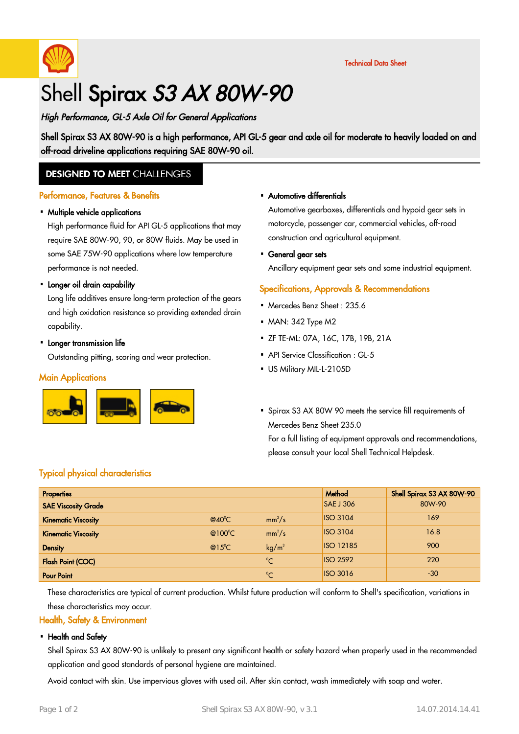

Technical Data Sheet

# Shell Spirax S3 AX 80W-90

# High Performance, GL-5 Axle Oil for General Applications

Shell Spirax S3 AX 80W-90 is a high performance, API GL-5 gear and axle oil for moderate to heavily loaded on and off-road driveline applications requiring SAE 80W-90 oil.

# **DESIGNED TO MEET CHALLENGES**

### Performance, Features & Benefits

# • Multiple vehicle applications

High performance fluid for API GL-5 applications that may require SAE 80W-90, 90, or 80W fluids. May be used in some SAE 75W-90 applications where low temperature performance is not needed.

# • Longer oil drain capability

Long life additives ensure long-term protection of the gears and high oxidation resistance so providing extended drain capability.

# • Longer transmission life

Outstanding pitting, scoring and wear protection.

### **Main Applications**



#### Automotive differentials ·

Automotive gearboxes, differentials and hypoid gear sets in motorcycle, passenger car, commercial vehicles, off-road construction and agricultural equipment.

General gear sets ·

Ancillary equipment gear sets and some industrial equipment.

## Specifications, Approvals & Recommendations

- Mercedes Benz Sheet: 235.6
- MAN: 342 Type M2
- ZF TE-ML: 07A, 16C, 17B, 19B, 21A ·
- API Service Classification : GL-5
- US Military MIL-L-2105D ·
- Spirax S3 AX 80W 90 meets the service fill requirements of Mercedes Benz Sheet 235.0

For a full listing of equipment approvals and recommendations, please consult your local Shell Technical Helpdesk.

# Typical physical characteristics

| <b>Properties</b>          |                 |                   | Method           | Shell Spirax S3 AX 80W-90 |
|----------------------------|-----------------|-------------------|------------------|---------------------------|
| <b>SAE Viscosity Grade</b> |                 |                   | <b>SAE J 306</b> | 80W-90                    |
| <b>Kinematic Viscosity</b> | $@40^{\circ}$ C | $mm^2/s$          | <b>ISO 3104</b>  | 169                       |
| <b>Kinematic Viscosity</b> | @100°C          | $mm^2/s$          | <b>ISO 3104</b>  | 16.8                      |
| <b>Density</b>             | $@15^{\circ}C$  | kg/m <sup>3</sup> | <b>ISO 12185</b> | 900                       |
| <b>Flash Point (COC)</b>   |                 | $^{\circ}C$       | <b>ISO 2592</b>  | 220                       |
| <b>Pour Point</b>          |                 | $^{\circ}C$       | <b>ISO 3016</b>  | $-30$                     |

These characteristics are typical of current production. Whilst future production will conform to Shell's specification, variations in these characteristics may occur.

### Health, Safety & Environment

### • Health and Safety

Shell Spirax S3 AX 80W-90 is unlikely to present any significant health or safety hazard when properly used in the recommended application and good standards of personal hygiene are maintained.

Avoid contact with skin. Use impervious gloves with used oil. After skin contact, wash immediately with soap and water.